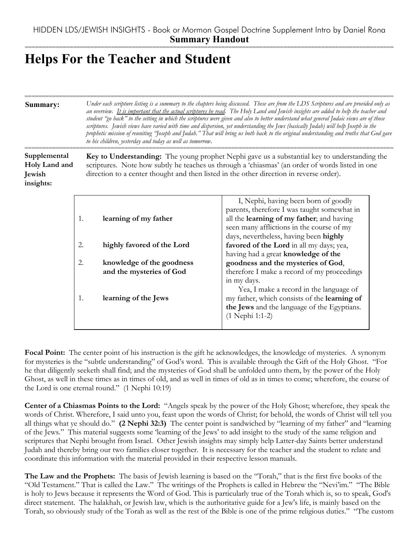## **Helps For the Teacher and Student**

1. **learning of the Jews**

| Summary:                                             |    | Under each scripture listing is a summary to the chapters being discussed. These are from the LDS Scriptures and are provided only as<br>an overview. It is important that the actual scriptures be read. The Holy Land and Jewish insights are added to help the teacher and<br>student "go back" to the setting in which the scriptures were given and also to better understand what general Judaic views are of those<br>scriptures. Jewish views have varied with time and dispersion, yet understanding the Jews (basically Judah) will help Joseph in the<br>prophetic mission of reuniting "Joseph and Judah." That will bring us both back to the original understanding and truths that God gave<br>to his children, yesterday and today as well as tomorrow. |                                                                                                                                                                                                                         |  |
|------------------------------------------------------|----|-------------------------------------------------------------------------------------------------------------------------------------------------------------------------------------------------------------------------------------------------------------------------------------------------------------------------------------------------------------------------------------------------------------------------------------------------------------------------------------------------------------------------------------------------------------------------------------------------------------------------------------------------------------------------------------------------------------------------------------------------------------------------|-------------------------------------------------------------------------------------------------------------------------------------------------------------------------------------------------------------------------|--|
| Supplemental<br>Holy Land and<br>Jewish<br>insights: |    | Key to Understanding: The young prophet Nephi gave us a substantial key to understanding the<br>scriptures. Note how subtly he teaches us through a 'chiasmas' (an order of words listed in one<br>direction to a center thought and then listed in the other direction in reverse order).                                                                                                                                                                                                                                                                                                                                                                                                                                                                              |                                                                                                                                                                                                                         |  |
|                                                      | 1. | learning of my father                                                                                                                                                                                                                                                                                                                                                                                                                                                                                                                                                                                                                                                                                                                                                   | I, Nephi, having been born of goodly<br>parents, therefore I was taught somewhat in<br>all the learning of my father; and having<br>seen many afflictions in the course of my<br>days, nevertheless, having been highly |  |
|                                                      | 2. | highly favored of the Lord                                                                                                                                                                                                                                                                                                                                                                                                                                                                                                                                                                                                                                                                                                                                              | favored of the Lord in all my days; yea,<br>having had a great knowledge of the                                                                                                                                         |  |
|                                                      | 2. | knowledge of the goodness<br>and the mysteries of God                                                                                                                                                                                                                                                                                                                                                                                                                                                                                                                                                                                                                                                                                                                   | goodness and the mysteries of God,<br>therefore I make a record of my proceedings                                                                                                                                       |  |

**Focal Point:** The center point of his instruction is the gift he acknowledges, the knowledge of mysteries. A synonym for mysteries is the "subtle understanding" of God's word. This is available through the Gift of the Holy Ghost. "For he that diligently seeketh shall find; and the mysteries of God shall be unfolded unto them, by the power of the Holy Ghost, as well in these times as in times of old, and as well in times of old as in times to come; wherefore, the course of the Lord is one eternal round." (1 Nephi 10:19)

in my days.

(1 Nephi 1:1-2)

Yea, I make a record in the language of my father, which consists of the **learning of the Jews** and the language of the Egyptians.

**Center of a Chiasmas Points to the Lord:** "Angels speak by the power of the Holy Ghost; wherefore, they speak the words of Christ. Wherefore, I said unto you, feast upon the words of Christ; for behold, the words of Christ will tell you all things what ye should do." **(2 Nephi 32:3)** The center point is sandwiched by "learning of my father" and "learning of the Jews." This material suggests some 'learning of the Jews' to add insight to the study of the same religion and scriptures that Nephi brought from Israel. Other Jewish insights may simply help Latter-day Saints better understand Judah and thereby bring our two families closer together. It is necessary for the teacher and the student to relate and coordinate this information with the material provided in their respective lesson manuals.

**The Law and the Prophets:** The basis of Jewish learning is based on the "Torah," that is the first five books of the "Old Testament." That is called the Law." The writings of the Prophets is called in Hebrew the "Nevi'im." "The Bible is holy to Jews because it represents the Word of God. This is particularly true of the Torah which is, so to speak, God's direct statement. The halakhah, or Jewish law, which is the authoritative guide for a Jew's life, is mainly based on the Torah, so obviously study of the Torah as well as the rest of the Bible is one of the prime religious duties." "The custom